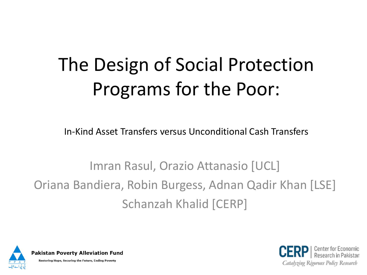## The Design of Social Protection Programs for the Poor:

In-Kind Asset Transfers versus Unconditional Cash Transfers

Imran Rasul, Orazio Attanasio [UCL] Oriana Bandiera, Robin Burgess, Adnan Qadir Khan [LSE] Schanzah Khalid [CERP]



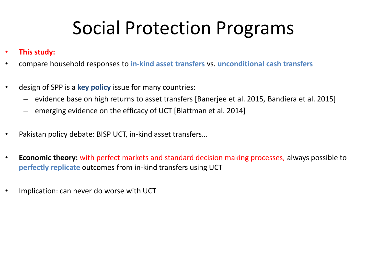#### Social Protection Programs

- **This study:**
- compare household responses to **in-kind asset transfers** vs. **unconditional cash transfers**
- design of SPP is a **key policy** issue for many countries:
	- evidence base on high returns to asset transfers [Banerjee et al. 2015, Bandiera et al. 2015]
	- emerging evidence on the efficacy of UCT [Blattman et al. 2014]
- Pakistan policy debate: BISP UCT, in-kind asset transfers…
- **Economic theory:** with perfect markets and standard decision making processes, always possible to **perfectly replicate** outcomes from in-kind transfers using UCT
- Implication: can never do worse with UCT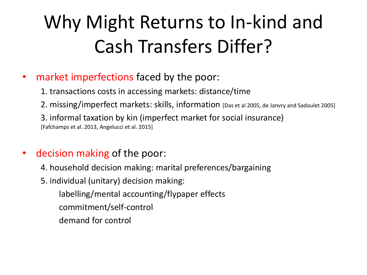#### Why Might Returns to In-kind and Cash Transfers Differ?

- market imperfections faced by the poor:
	- 1. transactions costs in accessing markets: distance/time
	- 2. missing/imperfect markets: skills, information [Das et al 2005, de Janvry and Sadoulet 2005]

3. informal taxation by kin (imperfect market for social insurance) [Fafchamps et al. 2013, Angelucci et al. 2015]

- decision making of the poor:
	- 4. household decision making: marital preferences/bargaining
	- 5. individual (unitary) decision making:
		- labelling/mental accounting/flypaper effects
		- commitment/self-control
		- demand for control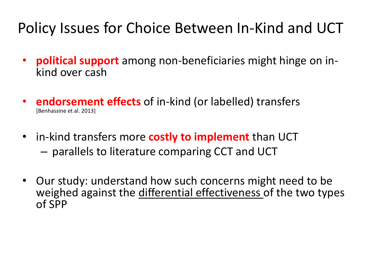#### Policy Issues for Choice Between In-Kind and UCT

- **political support** among non-beneficiaries might hinge on inkind over cash
- **endorsement effects** of in-kind (or labelled) transfers [Benhassine et al. 2013]
- in-kind transfers more **costly to implement** than UCT – parallels to literature comparing CCT and UCT
- Our study: understand how such concerns might need to be weighed against the differential effectiveness of the two types of SPP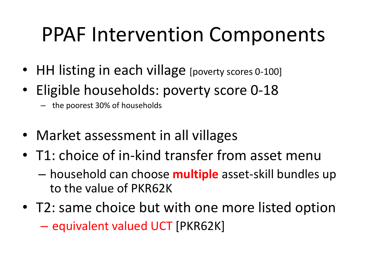## PPAF Intervention Components

- HH listing in each village [poverty scores 0-100]
- Eligible households: poverty score 0-18
	- the poorest 30% of households
- Market assessment in all villages
- T1: choice of in-kind transfer from asset menu
	- household can choose **multiple** asset-skill bundles up to the value of PKR62K
- T2: same choice but with one more listed option – equivalent valued UCT [PKR62K]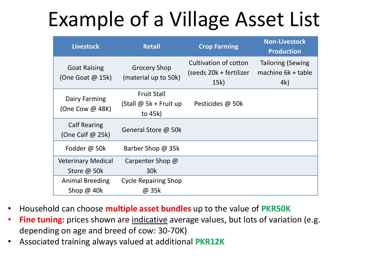## Example of a Village Asset List

| <b>Livestock</b>                          | <b>Retail</b>                                           | <b>Crop Farming</b>                                      | <b>Non-Livestock</b><br><b>Production</b>             |
|-------------------------------------------|---------------------------------------------------------|----------------------------------------------------------|-------------------------------------------------------|
| <b>Goat Raising</b><br>(One Goat $@$ 15k) | <b>Grocery Shop</b><br>(material up to 50k)             | Cultivation of cotton<br>(seeds 20k + fertilizer<br>15k) | <b>Tailoring (Sewing</b><br>machine 6k + table<br>4k) |
| Dairy Farming<br>(One Cow @ 48K)          | <b>Fruit Stall</b><br>(Stall @ 5k + Fruit up<br>to 45k) | Pesticides @ 50k                                         |                                                       |
| <b>Calf Rearing</b><br>(One Calf $@$ 25k) | General Store @ 50k                                     |                                                          |                                                       |
| Fodder @ 50k                              | Barber Shop @ 35k                                       |                                                          |                                                       |
| <b>Veterinary Medical</b>                 | Carpenter Shop @                                        |                                                          |                                                       |
| Store @ 50k                               | 30 <sub>k</sub>                                         |                                                          |                                                       |
| <b>Animal Breeding</b>                    | <b>Cycle Repairing Shop</b>                             |                                                          |                                                       |
| Shop $@$ 40 $k$                           | @ 35k                                                   |                                                          |                                                       |

- Household can choose **multiple asset bundles** up to the value of **PKR50K**
- **Fine tuning:** prices shown are indicative average values, but lots of variation (e.g. depending on age and breed of cow: 30-70K)
- Associated training always valued at additional **PKR12K**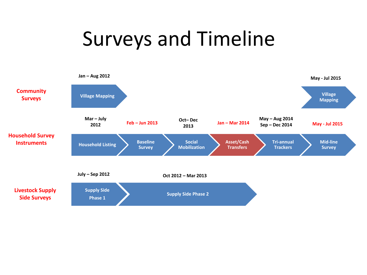### Surveys and Timeline

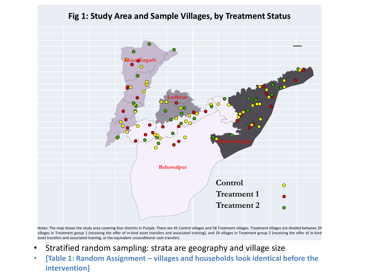

Notes: The map shows the study area covering four districts in Punjab. There are 45 Control villages and 58 Treatment villages. Treatment villages are divided between 29 villages in Treatment group 1 (receiving the offer of in-kind asset transfers and associated training), and 29 villages in Treatment group 2 (receiving the offer of in-kind asset transfers and associated training, or the equivalent unconditional cash transfer).

- Stratified random sampling: strata are geography and village size
- **[Table 1: Random Assignment – villages and households look identical before the intervention]**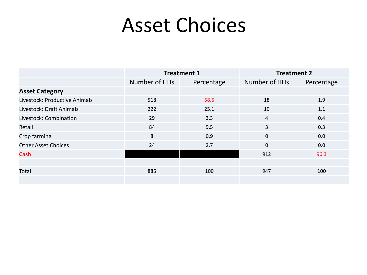#### Asset Choices

|                               | <b>Treatment 1</b> |            | <b>Treatment 2</b> |            |
|-------------------------------|--------------------|------------|--------------------|------------|
|                               | Number of HHs      | Percentage | Number of HHs      | Percentage |
| <b>Asset Category</b>         |                    |            |                    |            |
| Livestock: Productive Animals | 518                | 58.5       | 18                 | 1.9        |
| Livestock: Draft Animals      | 222                | 25.1       | 10                 | 1.1        |
| Livestock: Combination        | 29                 | 3.3        | 4                  | 0.4        |
| Retail                        | 84                 | 9.5        | 3                  | 0.3        |
| Crop farming                  | 8                  | 0.9        | $\mathbf{0}$       | 0.0        |
| <b>Other Asset Choices</b>    | 24                 | 2.7        | $\Omega$           | 0.0        |
| <b>Cash</b>                   |                    |            | 912                | 96.3       |
|                               |                    |            |                    |            |
| Total                         | 885                | 100        | 947                | 100        |
|                               |                    |            |                    |            |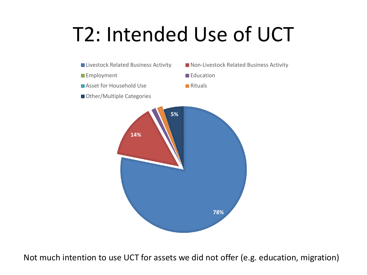## T2: Intended Use of UCT



Not much intention to use UCT for assets we did not offer (e.g. education, migration)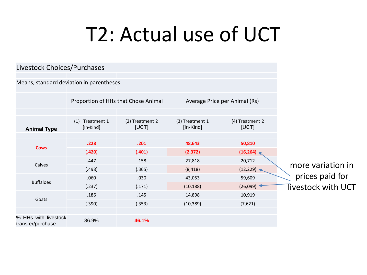### T2: Actual use of UCT

| Livestock Choices/Purchases               |                                 |                                     |                              |                                      |                                       |
|-------------------------------------------|---------------------------------|-------------------------------------|------------------------------|--------------------------------------|---------------------------------------|
| Means, standard deviation in parentheses  |                                 |                                     |                              |                                      |                                       |
|                                           |                                 | Proportion of HHs that Chose Animal |                              | Average Price per Animal (Rs)        |                                       |
| <b>Animal Type</b>                        | (1)<br>Treatment 1<br>[In-Kind] | (2) Treatment 2<br>[UCT]            | (3) Treatment 1<br>[In-Kind] | (4) Treatment 2<br>[UCT]             |                                       |
| <b>Cows</b>                               | .228<br>(.420)                  | .201<br>(.401)                      | 48,643<br>(2, 372)           | 50,810<br>(16, 264)                  |                                       |
| Calves                                    | .447<br>(.498)                  | .158<br>(.365)                      | 27,818<br>(8, 418)           | 20,712<br>(12, 229)                  | more variation in                     |
| <b>Buffaloes</b>                          | .060<br>(.237)                  | .030<br>(.171)                      | 43,053<br>(10, 188)          | 59,609<br>$(26,099)$ $\triangleleft$ | prices paid for<br>Tivestock with UCT |
| Goats                                     | .186<br>(.390)                  | .145<br>(.353)                      | 14,898<br>(10, 389)          | 10,919<br>(7,621)                    |                                       |
| % HHs with livestock<br>transfer/purchase | 86.9%                           | 46.1%                               |                              |                                      |                                       |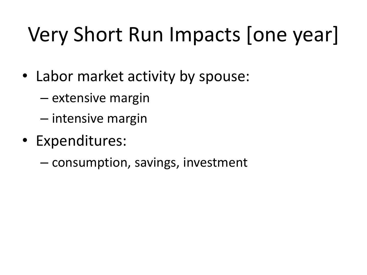# Very Short Run Impacts [one year]

- Labor market activity by spouse:
	- extensive margin
	- intensive margin
- Expenditures:
	- consumption, savings, investment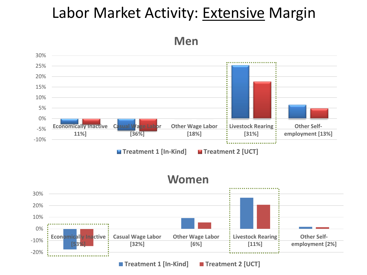#### Labor Market Activity: Extensive Margin

**Men**



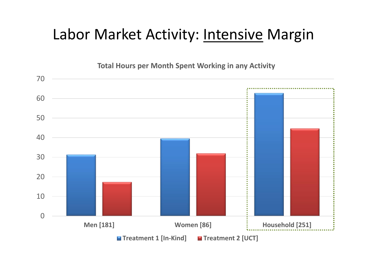#### Labor Market Activity: **Intensive Margin**

**Total Hours per Month Spent Working in any Activity**

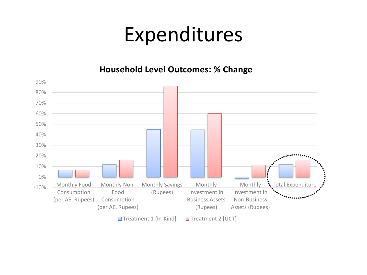#### Expenditures

**Household Level Outcomes: % Change**

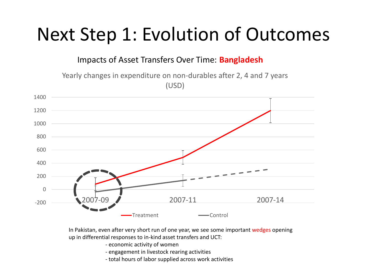#### Next Step 1: Evolution of Outcomes

Impacts of Asset Transfers Over Time: **Bangladesh**

Yearly changes in expenditure on non-durables after 2, 4 and 7 years (USD)



In Pakistan, even after very short run of one year, we see some important wedges opening up in differential responses to in-kind asset transfers and UCT:

- economic activity of women
- engagement in livestock rearing activities
- total hours of labor supplied across work activities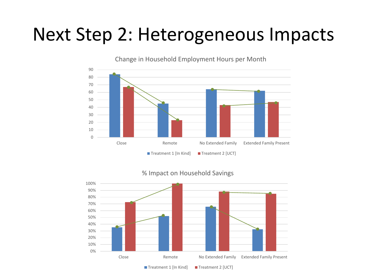#### Next Step 2: Heterogeneous Impacts





% Impact on Household Savings